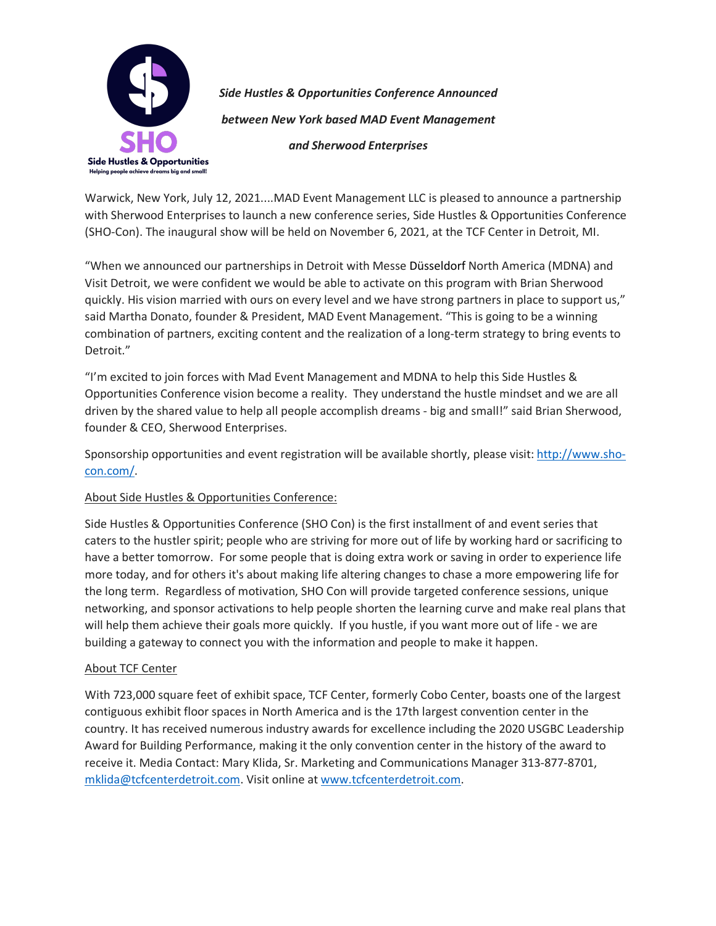

*Side Hustles & Opportunities Conference Announced between New York based MAD Event Management and Sherwood Enterprises*

Warwick, New York, July 12, 2021....MAD Event Management LLC is pleased to announce a partnership with Sherwood Enterprises to launch a new conference series, Side Hustles & Opportunities Conference (SHO-Con). The inaugural show will be held on November 6, 2021, at the TCF Center in Detroit, MI.

"When we announced our partnerships in Detroit with Messe Düsseldorf North America (MDNA) and Visit Detroit, we were confident we would be able to activate on this program with Brian Sherwood quickly. His vision married with ours on every level and we have strong partners in place to support us," said Martha Donato, founder & President, MAD Event Management. "This is going to be a winning combination of partners, exciting content and the realization of a long-term strategy to bring events to Detroit."

"I'm excited to join forces with Mad Event Management and MDNA to help this Side Hustles & Opportunities Conference vision become a reality. They understand the hustle mindset and we are all driven by the shared value to help all people accomplish dreams - big and small!" said Brian Sherwood, founder & CEO, Sherwood Enterprises.

Sponsorship opportunities and event registration will be available shortly, please visit: http://www.shocon.com/.

## About Side Hustles & Opportunities Conference:

Side Hustles & Opportunities Conference (SHO Con) is the first installment of and event series that caters to the hustler spirit; people who are striving for more out of life by working hard or sacrificing to have a better tomorrow. For some people that is doing extra work or saving in order to experience life more today, and for others it's about making life altering changes to chase a more empowering life for the long term. Regardless of motivation, SHO Con will provide targeted conference sessions, unique networking, and sponsor activations to help people shorten the learning curve and make real plans that will help them achieve their goals more quickly. If you hustle, if you want more out of life - we are building a gateway to connect you with the information and people to make it happen.

## About TCF Center

With 723,000 square feet of exhibit space, TCF Center, formerly Cobo Center, boasts one of the largest contiguous exhibit floor spaces in North America and is the 17th largest convention center in the country. It has received numerous industry awards for excellence including the 2020 USGBC Leadership Award for Building Performance, making it the only convention center in the history of the award to receive it. Media Contact: Mary Klida, Sr. Marketing and Communications Manager 313-877-8701, mklida@tcfcenterdetroit.com. Visit online at www.tcfcenterdetroit.com.